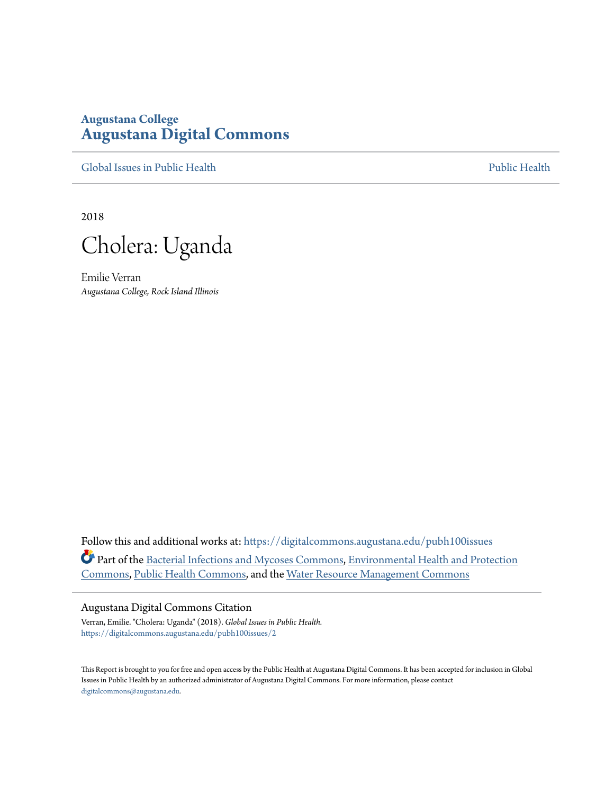# **Augustana College [Augustana Digital Commons](https://digitalcommons.augustana.edu?utm_source=digitalcommons.augustana.edu%2Fpubh100issues%2F2&utm_medium=PDF&utm_campaign=PDFCoverPages)**

[Global Issues in Public Health](https://digitalcommons.augustana.edu/pubh100issues?utm_source=digitalcommons.augustana.edu%2Fpubh100issues%2F2&utm_medium=PDF&utm_campaign=PDFCoverPages) [Public Health](https://digitalcommons.augustana.edu/publichealth?utm_source=digitalcommons.augustana.edu%2Fpubh100issues%2F2&utm_medium=PDF&utm_campaign=PDFCoverPages) Public Health Public Health Public Health

2018



Emilie Verran *Augustana College, Rock Island Illinois*

Follow this and additional works at: [https://digitalcommons.augustana.edu/pubh100issues](https://digitalcommons.augustana.edu/pubh100issues?utm_source=digitalcommons.augustana.edu%2Fpubh100issues%2F2&utm_medium=PDF&utm_campaign=PDFCoverPages) Part of the [Bacterial Infections and Mycoses Commons,](http://network.bepress.com/hgg/discipline/966?utm_source=digitalcommons.augustana.edu%2Fpubh100issues%2F2&utm_medium=PDF&utm_campaign=PDFCoverPages) [Environmental Health and Protection](http://network.bepress.com/hgg/discipline/172?utm_source=digitalcommons.augustana.edu%2Fpubh100issues%2F2&utm_medium=PDF&utm_campaign=PDFCoverPages) [Commons,](http://network.bepress.com/hgg/discipline/172?utm_source=digitalcommons.augustana.edu%2Fpubh100issues%2F2&utm_medium=PDF&utm_campaign=PDFCoverPages) [Public Health Commons](http://network.bepress.com/hgg/discipline/738?utm_source=digitalcommons.augustana.edu%2Fpubh100issues%2F2&utm_medium=PDF&utm_campaign=PDFCoverPages), and the [Water Resource Management Commons](http://network.bepress.com/hgg/discipline/1057?utm_source=digitalcommons.augustana.edu%2Fpubh100issues%2F2&utm_medium=PDF&utm_campaign=PDFCoverPages)

#### Augustana Digital Commons Citation

Verran, Emilie. "Cholera: Uganda" (2018). *Global Issues in Public Health.* [https://digitalcommons.augustana.edu/pubh100issues/2](https://digitalcommons.augustana.edu/pubh100issues/2?utm_source=digitalcommons.augustana.edu%2Fpubh100issues%2F2&utm_medium=PDF&utm_campaign=PDFCoverPages)

This Report is brought to you for free and open access by the Public Health at Augustana Digital Commons. It has been accepted for inclusion in Global Issues in Public Health by an authorized administrator of Augustana Digital Commons. For more information, please contact [digitalcommons@augustana.edu.](mailto:digitalcommons@augustana.edu)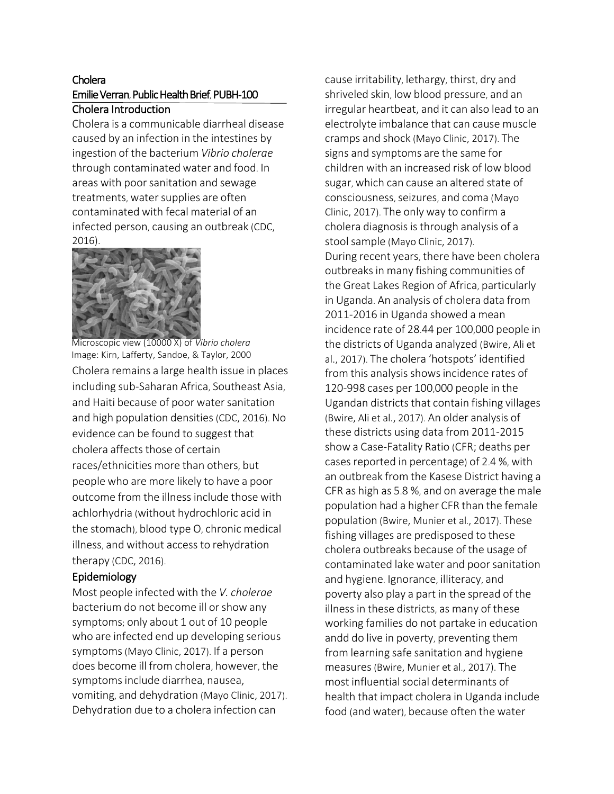### Cholera Emilie Verran, Public Health Brief, PUBH-100 Cholera Introduction

Cholera is a communicable diarrheal disease caused by an infection in the intestines by ingestion of the bacterium *Vibrio cholerae* through contaminated water and food. In areas with poor sanitation and sewage treatments, water supplies are often contaminated with fecal material of an infected person, causing an outbreak (CDC, 2016).



Cholera remains a large health issue in places including sub-Saharan Africa, Southeast Asia, and Haiti because of poor water sanitation and high population densities (CDC, 2016). No evidence can be found to suggest that cholera affects those of certain races/ethnicities more than others, but people who are more likely to have a poor outcome from the illness include those with achlorhydria (without hydrochloric acid in the stomach), blood type O, chronic medical illness, and without access to rehydration therapy (CDC, 2016). Microscopic view (10000 X) of *Vibrio cholera* Image: Kirn, Lafferty, Sandoe, & Taylor, 2000

## Epidemiology

Most people infected with the *V. cholerae* bacterium do not become ill or show any symptoms; only about 1 out of 10 people who are infected end up developing serious symptoms(Mayo Clinic, 2017). If a person does become ill from cholera, however, the symptomsinclude diarrhea, nausea, vomiting, and dehydration (Mayo Clinic, 2017). Dehydration due to a cholera infection can

cause irritability, lethargy, thirst, dry and shriveled skin, low blood pressure, and an irregular heartbeat, and it can also lead to an electrolyte imbalance that can cause muscle cramps and shock (Mayo Clinic, 2017). The signs and symptoms are the same for children with an increased risk of low blood sugar, which can cause an altered state of consciousness, seizures, and coma (Mayo Clinic, 2017). The only way to confirm a cholera diagnosis is through analysis of a stool sample (Mayo Clinic, 2017). During recent years, there have been cholera outbreaks in many fishing communities of the Great Lakes Region of Africa, particularly in Uganda. An analysis of cholera data from 2011-2016 in Uganda showed a mean incidence rate of 28.44 per 100,000 people in the districts of Uganda analyzed (Bwire, Ali et al., 2017). The cholera 'hotspots' identified from this analysis shows incidence rates of 120-998 cases per 100,000 people in the Ugandan districts that contain fishing villages (Bwire, Ali et al., 2017). An older analysis of these districts using data from 2011-2015 show a Case-Fatality Ratio (CFR; deaths per cases reported in percentage) of 2.4 %, with an outbreak from the Kasese District having a CFR as high as 5.8 %, and on average the male population had a higher CFR than the female population (Bwire, Munier et al., 2017). These fishing villages are predisposed to these cholera outbreaks because of the usage of contaminated lake water and poorsanitation and hygiene. Ignorance, illiteracy, and poverty also play a part in the spread of the illness in these districts, as many of these working families do not partake in education andd do live in poverty, preventing them from learning safe sanitation and hygiene measures(Bwire, Munier et al., 2017). The most influential social determinants of health that impact cholera in Uganda include food (and water), because often the water